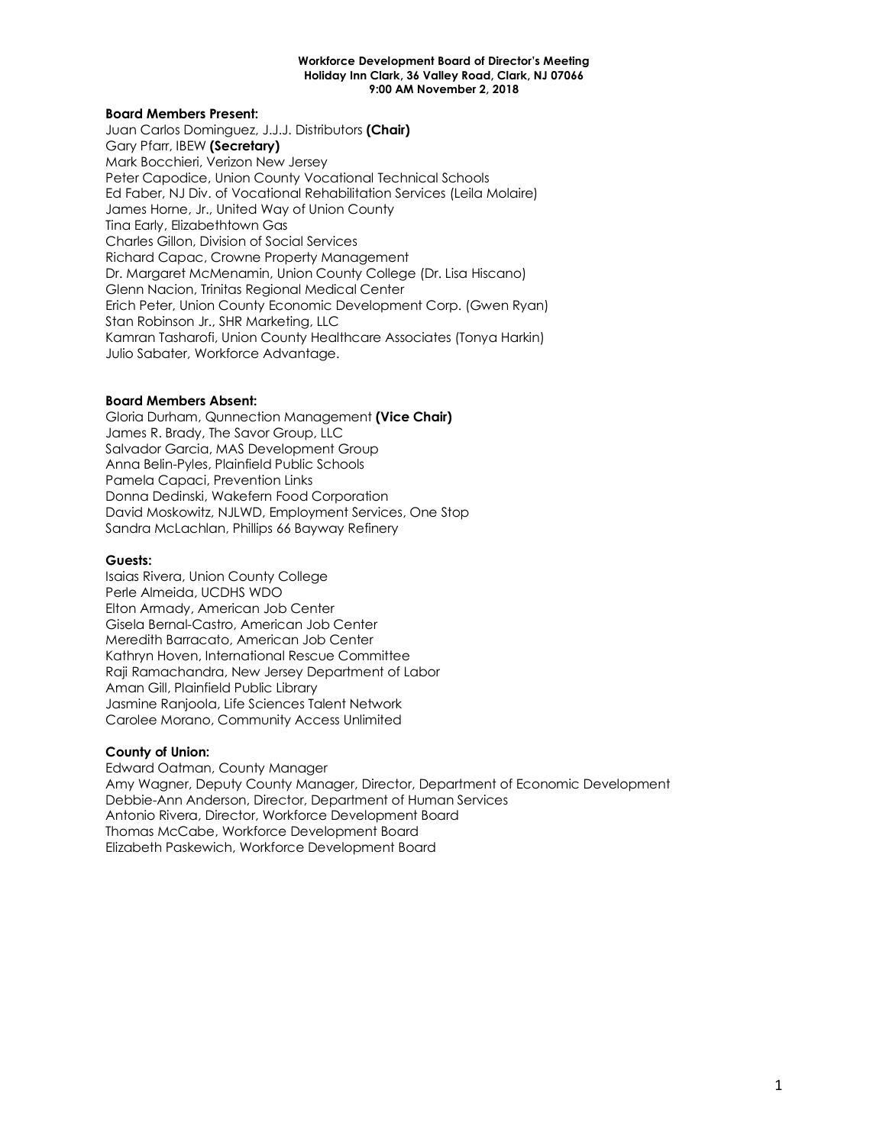#### **Board Members Present:**

Juan Carlos Dominguez, J.J.J. Distributors **(Chair)** Gary Pfarr, IBEW **(Secretary)** Mark Bocchieri, Verizon New Jersey Peter Capodice, Union County Vocational Technical Schools Ed Faber, NJ Div. of Vocational Rehabilitation Services (Leila Molaire) James Horne, Jr., United Way of Union County Tina Early, Elizabethtown Gas Charles Gillon, Division of Social Services Richard Capac, Crowne Property Management Dr. Margaret McMenamin, Union County College (Dr. Lisa Hiscano) Glenn Nacion, Trinitas Regional Medical Center Erich Peter, Union County Economic Development Corp. (Gwen Ryan) Stan Robinson Jr., SHR Marketing, LLC Kamran Tasharofi, Union County Healthcare Associates (Tonya Harkin) Julio Sabater, Workforce Advantage.

#### **Board Members Absent:**

Gloria Durham, Qunnection Management **(Vice Chair)** James R. Brady, The Savor Group, LLC Salvador Garcia, MAS Development Group Anna Belin-Pyles, Plainfield Public Schools Pamela Capaci, Prevention Links Donna Dedinski, Wakefern Food Corporation David Moskowitz, NJLWD, Employment Services, One Stop Sandra McLachlan, Phillips 66 Bayway Refinery

#### **Guests:**

Isaias Rivera, Union County College Perle Almeida, UCDHS WDO Elton Armady, American Job Center Gisela Bernal-Castro, American Job Center Meredith Barracato, American Job Center Kathryn Hoven, International Rescue Committee Raji Ramachandra, New Jersey Department of Labor Aman Gill, Plainfield Public Library Jasmine Ranjoola, Life Sciences Talent Network Carolee Morano, Community Access Unlimited

#### **County of Union:**

Edward Oatman, County Manager Amy Wagner, Deputy County Manager, Director, Department of Economic Development Debbie-Ann Anderson, Director, Department of Human Services Antonio Rivera, Director, Workforce Development Board Thomas McCabe, Workforce Development Board Elizabeth Paskewich, Workforce Development Board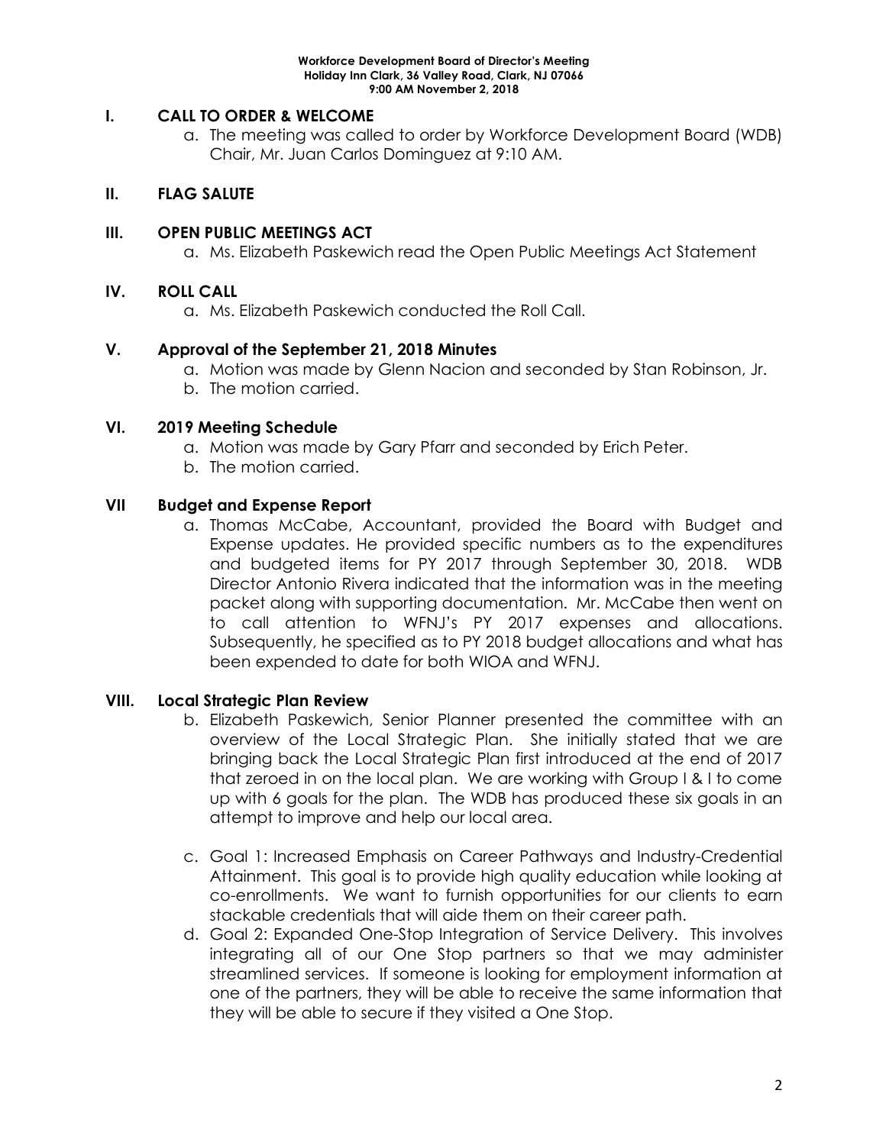## **I. CALL TO ORDER & WELCOME**

a. The meeting was called to order by Workforce Development Board (WDB) Chair, Mr. Juan Carlos Dominguez at 9:10 AM.

# **II. FLAG SALUTE**

## **III. OPEN PUBLIC MEETINGS ACT**

a. Ms. Elizabeth Paskewich read the Open Public Meetings Act Statement

## **IV. ROLL CALL**

a. Ms. Elizabeth Paskewich conducted the Roll Call.

## **V. Approval of the September 21, 2018 Minutes**

- a. Motion was made by Glenn Nacion and seconded by Stan Robinson, Jr.
- b. The motion carried.

### **VI. 2019 Meeting Schedule**

- a. Motion was made by Gary Pfarr and seconded by Erich Peter.
- b. The motion carried.

## **VII Budget and Expense Report**

a. Thomas McCabe, Accountant, provided the Board with Budget and Expense updates. He provided specific numbers as to the expenditures and budgeted items for PY 2017 through September 30, 2018. WDB Director Antonio Rivera indicated that the information was in the meeting packet along with supporting documentation. Mr. McCabe then went on to call attention to WFNJ's PY 2017 expenses and allocations. Subsequently, he specified as to PY 2018 budget allocations and what has been expended to date for both WIOA and WFNJ.

# **VIII. Local Strategic Plan Review**

- b. Elizabeth Paskewich, Senior Planner presented the committee with an overview of the Local Strategic Plan. She initially stated that we are bringing back the Local Strategic Plan first introduced at the end of 2017 that zeroed in on the local plan. We are working with Group I & I to come up with 6 goals for the plan. The WDB has produced these six goals in an attempt to improve and help our local area.
- c. Goal 1: Increased Emphasis on Career Pathways and Industry-Credential Attainment. This goal is to provide high quality education while looking at co-enrollments. We want to furnish opportunities for our clients to earn stackable credentials that will aide them on their career path.
- d. Goal 2: Expanded One-Stop Integration of Service Delivery. This involves integrating all of our One Stop partners so that we may administer streamlined services. If someone is looking for employment information at one of the partners, they will be able to receive the same information that they will be able to secure if they visited a One Stop.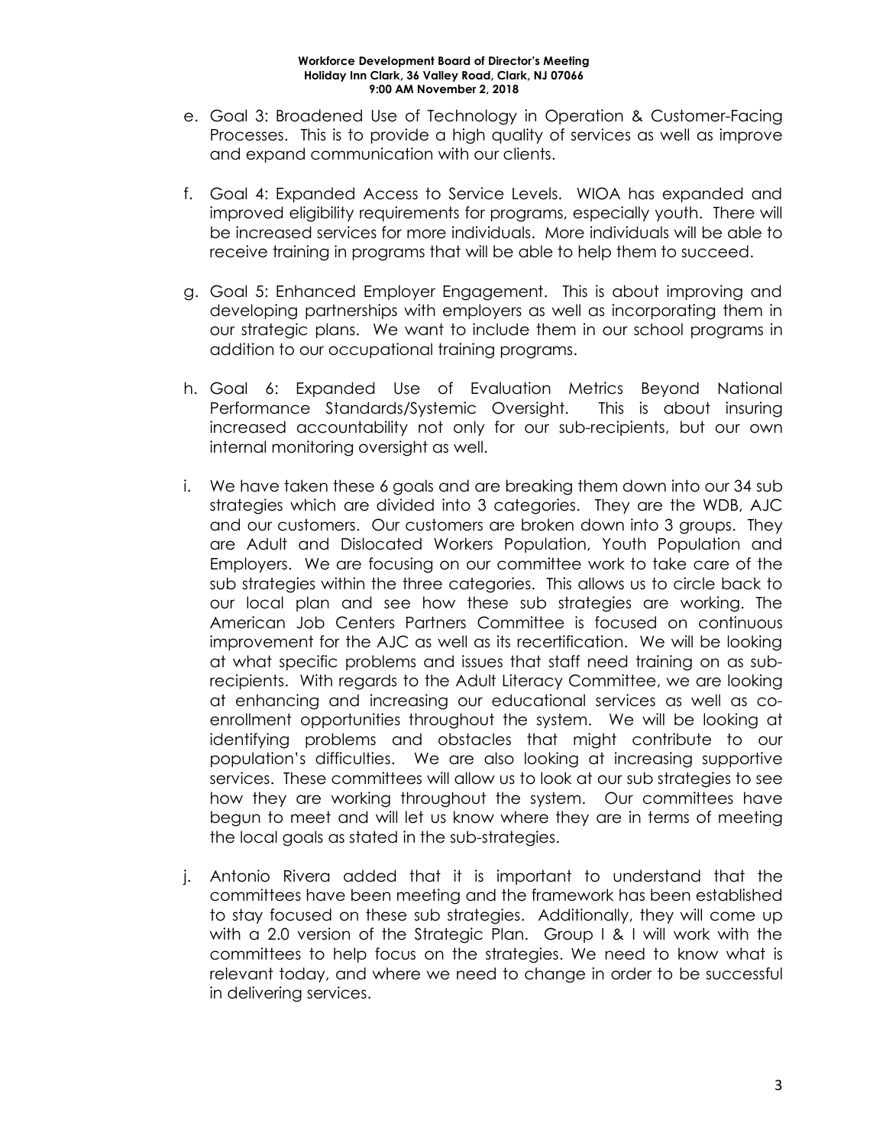- e. Goal 3: Broadened Use of Technology in Operation & Customer-Facing Processes. This is to provide a high quality of services as well as improve and expand communication with our clients.
- f. Goal 4: Expanded Access to Service Levels. WIOA has expanded and improved eligibility requirements for programs, especially youth. There will be increased services for more individuals. More individuals will be able to receive training in programs that will be able to help them to succeed.
- g. Goal 5: Enhanced Employer Engagement. This is about improving and developing partnerships with employers as well as incorporating them in our strategic plans. We want to include them in our school programs in addition to our occupational training programs.
- h. Goal 6: Expanded Use of Evaluation Metrics Beyond National Performance Standards/Systemic Oversight. This is about insuring increased accountability not only for our sub-recipients, but our own internal monitoring oversight as well.
- i. We have taken these 6 goals and are breaking them down into our 34 sub strategies which are divided into 3 categories. They are the WDB, AJC and our customers. Our customers are broken down into 3 groups. They are Adult and Dislocated Workers Population, Youth Population and Employers. We are focusing on our committee work to take care of the sub strategies within the three categories. This allows us to circle back to our local plan and see how these sub strategies are working. The American Job Centers Partners Committee is focused on continuous improvement for the AJC as well as its recertification. We will be looking at what specific problems and issues that staff need training on as subrecipients. With regards to the Adult Literacy Committee, we are looking at enhancing and increasing our educational services as well as coenrollment opportunities throughout the system. We will be looking at identifying problems and obstacles that might contribute to our population's difficulties. We are also looking at increasing supportive services. These committees will allow us to look at our sub strategies to see how they are working throughout the system. Our committees have begun to meet and will let us know where they are in terms of meeting the local goals as stated in the sub-strategies.
- j. Antonio Rivera added that it is important to understand that the committees have been meeting and the framework has been established to stay focused on these sub strategies. Additionally, they will come up with a 2.0 version of the Strategic Plan. Group I & I will work with the committees to help focus on the strategies. We need to know what is relevant today, and where we need to change in order to be successful in delivering services.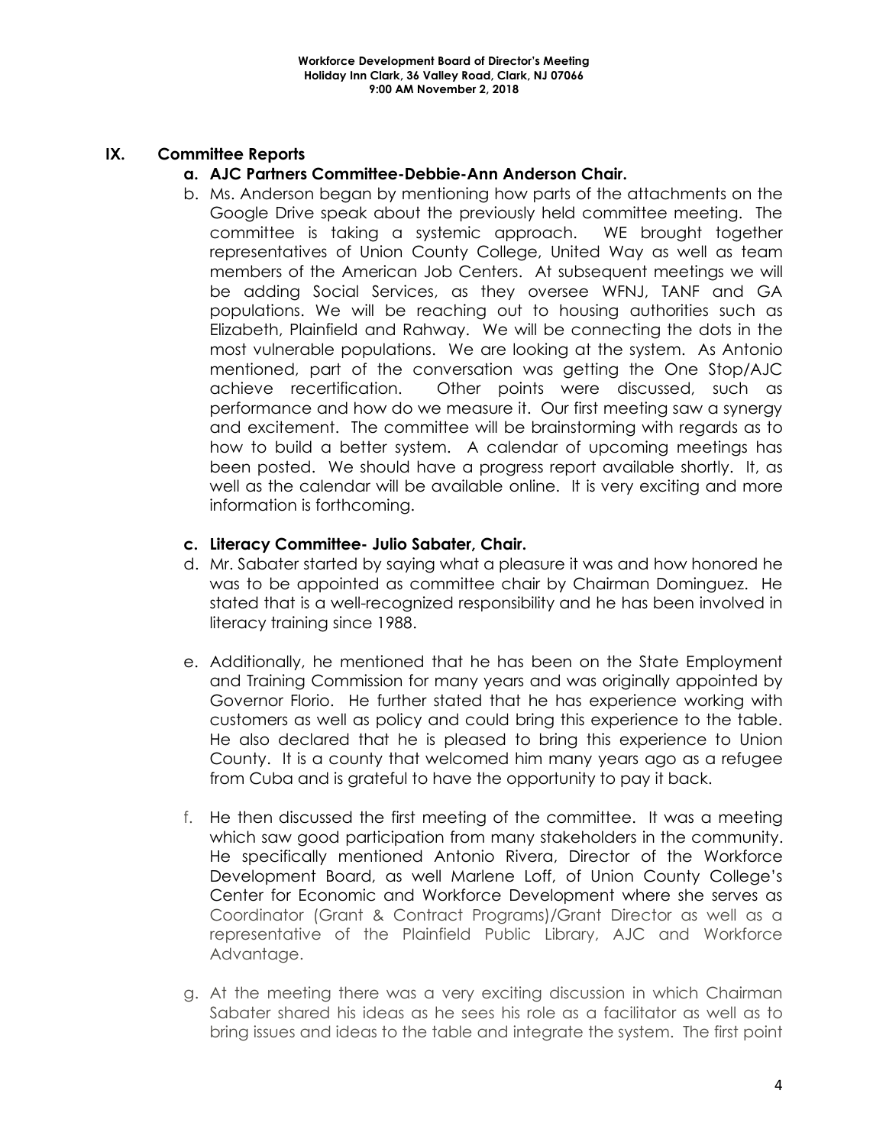# **IX. Committee Reports**

## **a. AJC Partners Committee-Debbie-Ann Anderson Chair.**

b. Ms. Anderson began by mentioning how parts of the attachments on the Google Drive speak about the previously held committee meeting. The committee is taking a systemic approach. WE brought together representatives of Union County College, United Way as well as team members of the American Job Centers. At subsequent meetings we will be adding Social Services, as they oversee WFNJ, TANF and GA populations. We will be reaching out to housing authorities such as Elizabeth, Plainfield and Rahway. We will be connecting the dots in the most vulnerable populations. We are looking at the system. As Antonio mentioned, part of the conversation was getting the One Stop/AJC achieve recertification. Other points were discussed, such as performance and how do we measure it. Our first meeting saw a synergy and excitement. The committee will be brainstorming with regards as to how to build a better system. A calendar of upcoming meetings has been posted. We should have a progress report available shortly. It, as well as the calendar will be available online. It is very exciting and more information is forthcoming.

# **c. Literacy Committee- Julio Sabater, Chair.**

- d. Mr. Sabater started by saying what a pleasure it was and how honored he was to be appointed as committee chair by Chairman Dominguez. He stated that is a well-recognized responsibility and he has been involved in literacy training since 1988.
- e. Additionally, he mentioned that he has been on the State Employment and Training Commission for many years and was originally appointed by Governor Florio. He further stated that he has experience working with customers as well as policy and could bring this experience to the table. He also declared that he is pleased to bring this experience to Union County. It is a county that welcomed him many years ago as a refugee from Cuba and is grateful to have the opportunity to pay it back.
- f. He then discussed the first meeting of the committee. It was a meeting which saw good participation from many stakeholders in the community. He specifically mentioned Antonio Rivera, Director of the Workforce Development Board, as well Marlene Loff, of Union County College's Center for Economic and Workforce Development where she serves as Coordinator (Grant & Contract Programs)/Grant Director as well as a representative of the Plainfield Public Library, AJC and Workforce Advantage.
- g. At the meeting there was a very exciting discussion in which Chairman Sabater shared his ideas as he sees his role as a facilitator as well as to bring issues and ideas to the table and integrate the system. The first point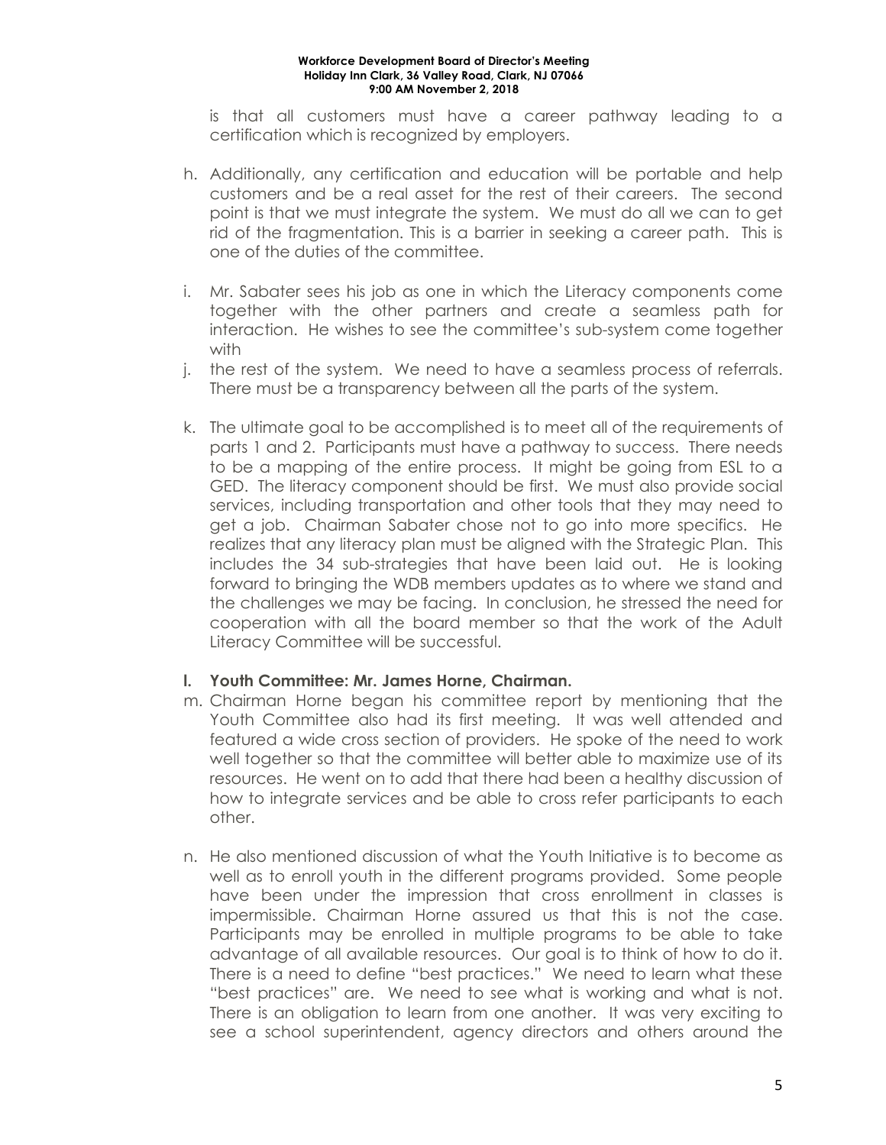is that all customers must have a career pathway leading to a certification which is recognized by employers.

- h. Additionally, any certification and education will be portable and help customers and be a real asset for the rest of their careers. The second point is that we must integrate the system. We must do all we can to get rid of the fragmentation. This is a barrier in seeking a career path. This is one of the duties of the committee.
- i. Mr. Sabater sees his job as one in which the Literacy components come together with the other partners and create a seamless path for interaction. He wishes to see the committee's sub-system come together with
- j. the rest of the system. We need to have a seamless process of referrals. There must be a transparency between all the parts of the system.
- k. The ultimate goal to be accomplished is to meet all of the requirements of parts 1 and 2. Participants must have a pathway to success. There needs to be a mapping of the entire process. It might be going from ESL to a GED. The literacy component should be first. We must also provide social services, including transportation and other tools that they may need to get a job. Chairman Sabater chose not to go into more specifics. He realizes that any literacy plan must be aligned with the Strategic Plan. This includes the 34 sub-strategies that have been laid out. He is looking forward to bringing the WDB members updates as to where we stand and the challenges we may be facing. In conclusion, he stressed the need for cooperation with all the board member so that the work of the Adult Literacy Committee will be successful.

# **l. Youth Committee: Mr. James Horne, Chairman.**

- m. Chairman Horne began his committee report by mentioning that the Youth Committee also had its first meeting. It was well attended and featured a wide cross section of providers. He spoke of the need to work well together so that the committee will better able to maximize use of its resources. He went on to add that there had been a healthy discussion of how to integrate services and be able to cross refer participants to each other.
- n. He also mentioned discussion of what the Youth Initiative is to become as well as to enroll youth in the different programs provided. Some people have been under the impression that cross enrollment in classes is impermissible. Chairman Horne assured us that this is not the case. Participants may be enrolled in multiple programs to be able to take advantage of all available resources. Our goal is to think of how to do it. There is a need to define "best practices." We need to learn what these "best practices" are. We need to see what is working and what is not. There is an obligation to learn from one another. It was very exciting to see a school superintendent, agency directors and others around the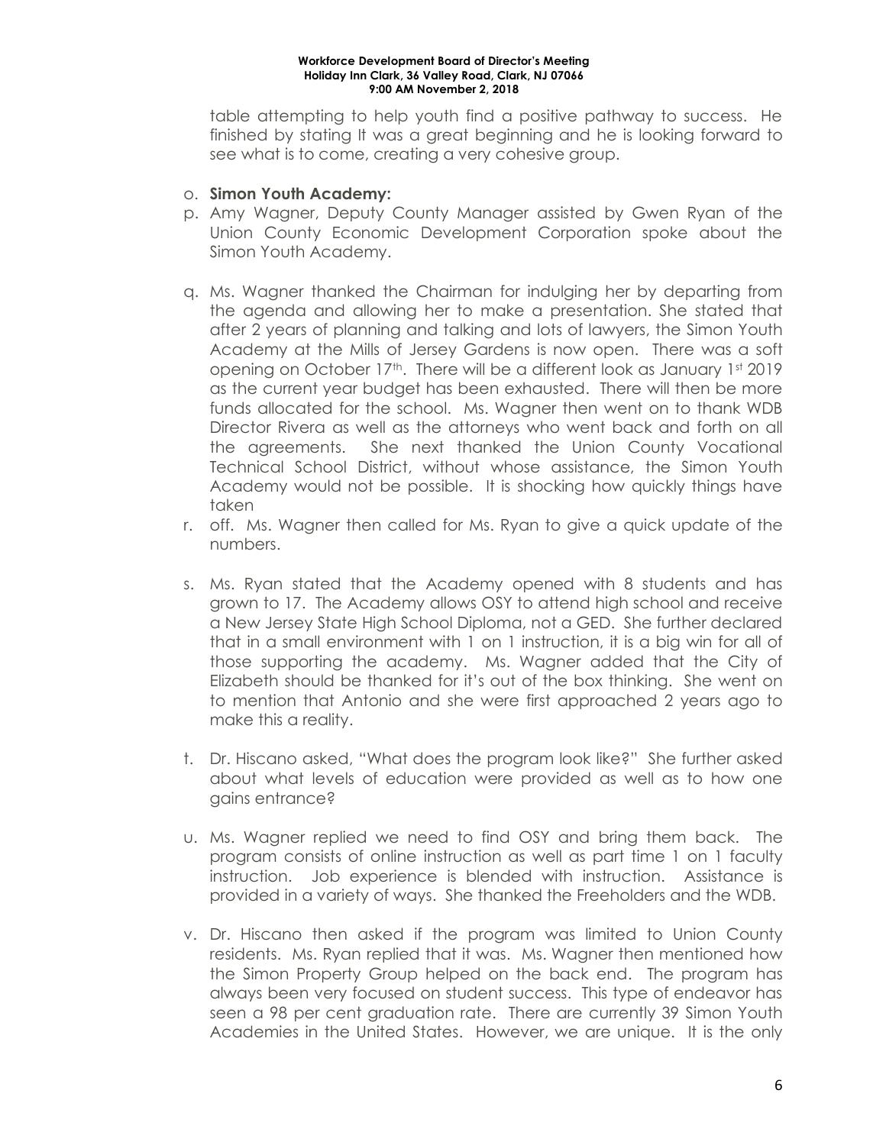table attempting to help youth find a positive pathway to success. He finished by stating It was a great beginning and he is looking forward to see what is to come, creating a very cohesive group.

## o. **Simon Youth Academy:**

- p. Amy Wagner, Deputy County Manager assisted by Gwen Ryan of the Union County Economic Development Corporation spoke about the Simon Youth Academy.
- q. Ms. Wagner thanked the Chairman for indulging her by departing from the agenda and allowing her to make a presentation. She stated that after 2 years of planning and talking and lots of lawyers, the Simon Youth Academy at the Mills of Jersey Gardens is now open. There was a soft opening on October 17<sup>th</sup>. There will be a different look as January 1st 2019 as the current year budget has been exhausted. There will then be more funds allocated for the school. Ms. Wagner then went on to thank WDB Director Rivera as well as the attorneys who went back and forth on all the agreements. She next thanked the Union County Vocational Technical School District, without whose assistance, the Simon Youth Academy would not be possible. It is shocking how quickly things have taken
- r. off. Ms. Wagner then called for Ms. Ryan to give a quick update of the numbers.
- s. Ms. Ryan stated that the Academy opened with 8 students and has grown to 17. The Academy allows OSY to attend high school and receive a New Jersey State High School Diploma, not a GED. She further declared that in a small environment with 1 on 1 instruction, it is a big win for all of those supporting the academy. Ms. Wagner added that the City of Elizabeth should be thanked for it's out of the box thinking. She went on to mention that Antonio and she were first approached 2 years ago to make this a reality.
- t. Dr. Hiscano asked, "What does the program look like?" She further asked about what levels of education were provided as well as to how one gains entrance?
- u. Ms. Wagner replied we need to find OSY and bring them back. The program consists of online instruction as well as part time 1 on 1 faculty instruction. Job experience is blended with instruction. Assistance is provided in a variety of ways. She thanked the Freeholders and the WDB.
- v. Dr. Hiscano then asked if the program was limited to Union County residents. Ms. Ryan replied that it was. Ms. Wagner then mentioned how the Simon Property Group helped on the back end. The program has always been very focused on student success. This type of endeavor has seen a 98 per cent graduation rate. There are currently 39 Simon Youth Academies in the United States. However, we are unique. It is the only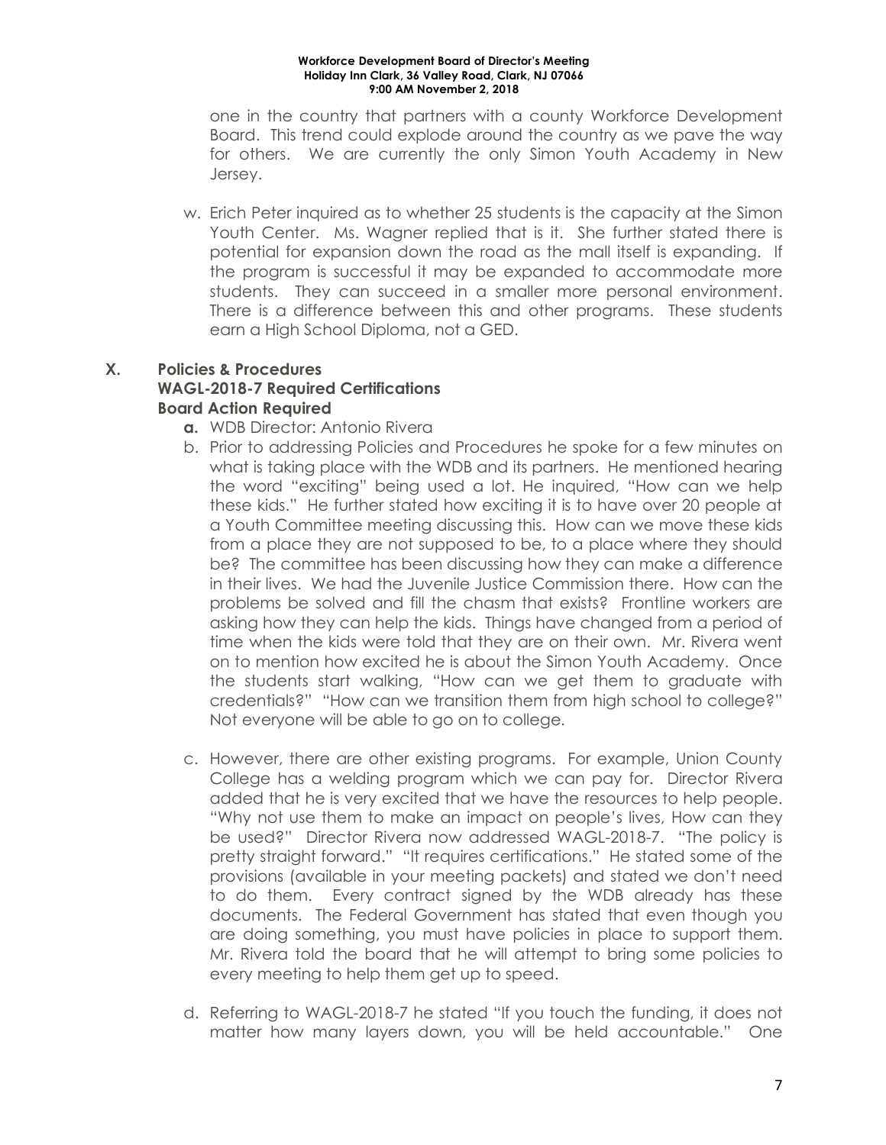one in the country that partners with a county Workforce Development Board. This trend could explode around the country as we pave the way for others. We are currently the only Simon Youth Academy in New Jersey.

w. Erich Peter inquired as to whether 25 students is the capacity at the Simon Youth Center. Ms. Wagner replied that is it. She further stated there is potential for expansion down the road as the mall itself is expanding. If the program is successful it may be expanded to accommodate more students. They can succeed in a smaller more personal environment. There is a difference between this and other programs. These students earn a High School Diploma, not a GED.

# **X. Policies & Procedures WAGL-2018-7 Required Certifications Board Action Required**

- **a.** WDB Director: Antonio Rivera
- b. Prior to addressing Policies and Procedures he spoke for a few minutes on what is taking place with the WDB and its partners. He mentioned hearing the word "exciting" being used a lot. He inquired, "How can we help these kids." He further stated how exciting it is to have over 20 people at a Youth Committee meeting discussing this. How can we move these kids from a place they are not supposed to be, to a place where they should be? The committee has been discussing how they can make a difference in their lives. We had the Juvenile Justice Commission there. How can the problems be solved and fill the chasm that exists? Frontline workers are asking how they can help the kids. Things have changed from a period of time when the kids were told that they are on their own. Mr. Rivera went on to mention how excited he is about the Simon Youth Academy. Once the students start walking, "How can we get them to graduate with credentials?" "How can we transition them from high school to college?" Not everyone will be able to go on to college.
- c. However, there are other existing programs. For example, Union County College has a welding program which we can pay for. Director Rivera added that he is very excited that we have the resources to help people. "Why not use them to make an impact on people's lives, How can they be used?" Director Rivera now addressed WAGL-2018-7. "The policy is pretty straight forward." "It requires certifications." He stated some of the provisions (available in your meeting packets) and stated we don't need to do them. Every contract signed by the WDB already has these documents. The Federal Government has stated that even though you are doing something, you must have policies in place to support them. Mr. Rivera told the board that he will attempt to bring some policies to every meeting to help them get up to speed.
- d. Referring to WAGL-2018-7 he stated "If you touch the funding, it does not matter how many layers down, you will be held accountable." One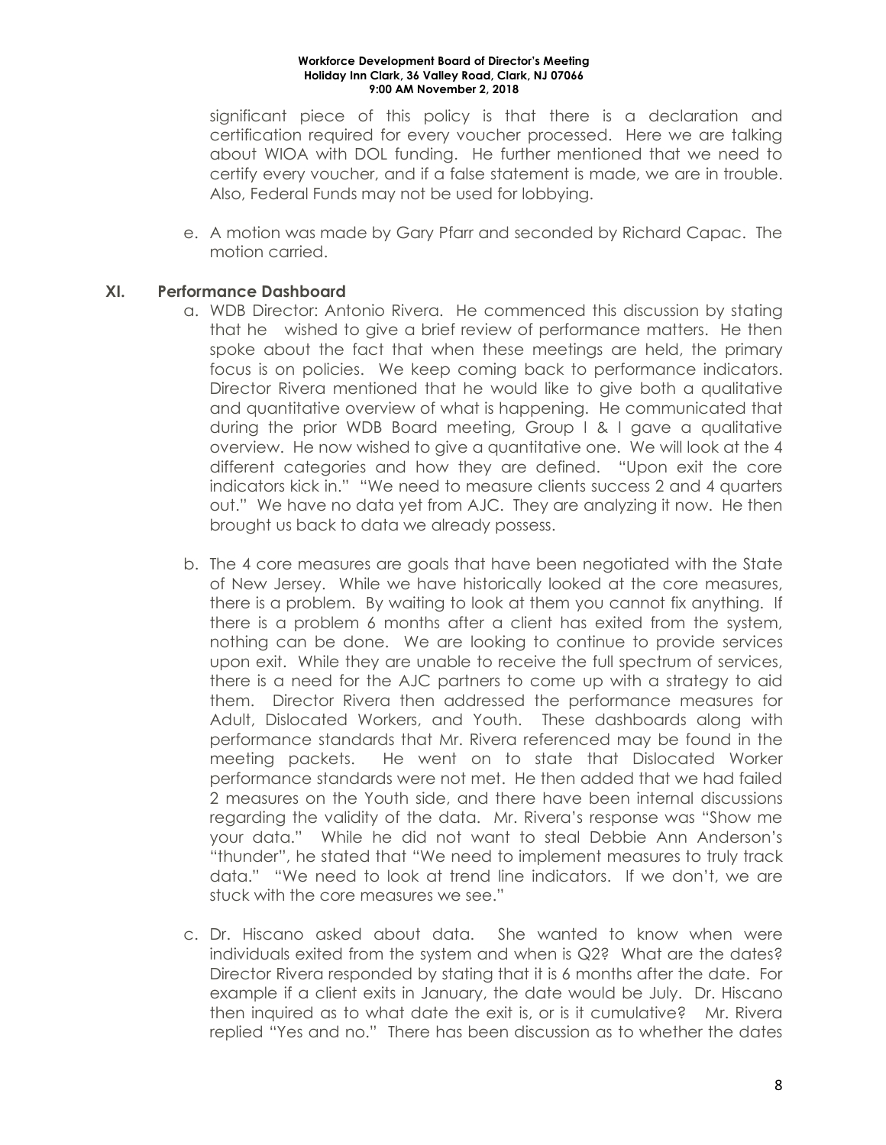significant piece of this policy is that there is a declaration and certification required for every voucher processed. Here we are talking about WIOA with DOL funding. He further mentioned that we need to certify every voucher, and if a false statement is made, we are in trouble. Also, Federal Funds may not be used for lobbying.

e. A motion was made by Gary Pfarr and seconded by Richard Capac. The motion carried.

## **XI. Performance Dashboard**

- a. WDB Director: Antonio Rivera. He commenced this discussion by stating that he wished to give a brief review of performance matters. He then spoke about the fact that when these meetings are held, the primary focus is on policies. We keep coming back to performance indicators. Director Rivera mentioned that he would like to give both a qualitative and quantitative overview of what is happening. He communicated that during the prior WDB Board meeting, Group I & I gave a qualitative overview. He now wished to give a quantitative one. We will look at the 4 different categories and how they are defined. "Upon exit the core indicators kick in." "We need to measure clients success 2 and 4 quarters out." We have no data yet from AJC. They are analyzing it now. He then brought us back to data we already possess.
- b. The 4 core measures are goals that have been negotiated with the State of New Jersey. While we have historically looked at the core measures, there is a problem. By waiting to look at them you cannot fix anything. If there is a problem 6 months after a client has exited from the system, nothing can be done. We are looking to continue to provide services upon exit. While they are unable to receive the full spectrum of services, there is a need for the AJC partners to come up with a strategy to aid them. Director Rivera then addressed the performance measures for Adult, Dislocated Workers, and Youth. These dashboards along with performance standards that Mr. Rivera referenced may be found in the meeting packets. He went on to state that Dislocated Worker performance standards were not met. He then added that we had failed 2 measures on the Youth side, and there have been internal discussions regarding the validity of the data. Mr. Rivera's response was "Show me your data." While he did not want to steal Debbie Ann Anderson's "thunder", he stated that "We need to implement measures to truly track data." "We need to look at trend line indicators. If we don't, we are stuck with the core measures we see."
- c. Dr. Hiscano asked about data. She wanted to know when were individuals exited from the system and when is Q2? What are the dates? Director Rivera responded by stating that it is 6 months after the date. For example if a client exits in January, the date would be July. Dr. Hiscano then inquired as to what date the exit is, or is it cumulative? Mr. Rivera replied "Yes and no." There has been discussion as to whether the dates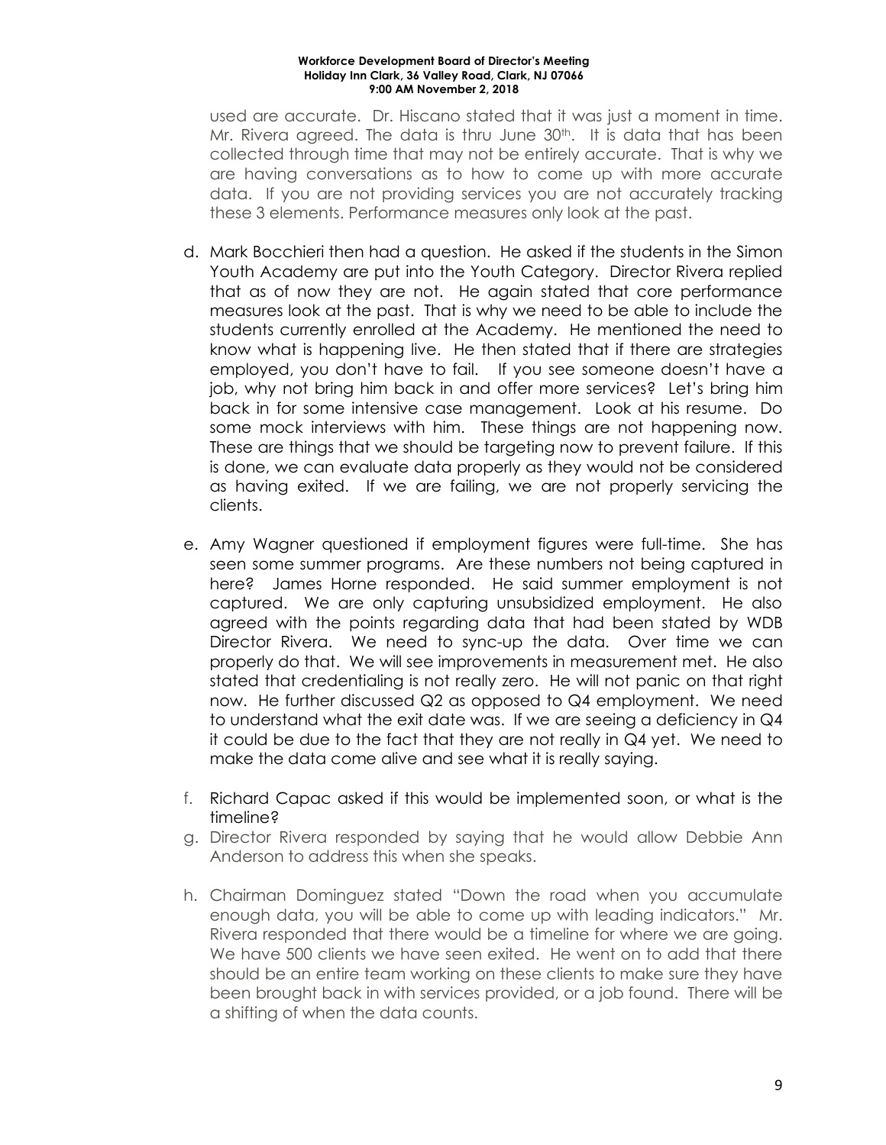used are accurate. Dr. Hiscano stated that it was just a moment in time. Mr. Rivera agreed. The data is thru June 30<sup>th</sup>. It is data that has been collected through time that may not be entirely accurate. That is why we are having conversations as to how to come up with more accurate data. If you are not providing services you are not accurately tracking these 3 elements. Performance measures only look at the past.

- d. Mark Bocchieri then had a question. He asked if the students in the Simon Youth Academy are put into the Youth Category. Director Rivera replied that as of now they are not. He again stated that core performance measures look at the past. That is why we need to be able to include the students currently enrolled at the Academy. He mentioned the need to know what is happening live. He then stated that if there are strategies employed, you don't have to fail. If you see someone doesn't have a job, why not bring him back in and offer more services? Let's bring him back in for some intensive case management. Look at his resume. Do some mock interviews with him. These things are not happening now. These are things that we should be targeting now to prevent failure. If this is done, we can evaluate data properly as they would not be considered as having exited. If we are failing, we are not properly servicing the clients.
- e. Amy Wagner questioned if employment figures were full-time. She has seen some summer programs. Are these numbers not being captured in here? James Horne responded. He said summer employment is not captured. We are only capturing unsubsidized employment. He also agreed with the points regarding data that had been stated by WDB Director Rivera. We need to sync-up the data. Over time we can properly do that. We will see improvements in measurement met. He also stated that credentialing is not really zero. He will not panic on that right now. He further discussed Q2 as opposed to Q4 employment. We need to understand what the exit date was. If we are seeing a deficiency in Q4 it could be due to the fact that they are not really in Q4 yet. We need to make the data come alive and see what it is really saying.
- f. Richard Capac asked if this would be implemented soon, or what is the timeline?
- g. Director Rivera responded by saying that he would allow Debbie Ann Anderson to address this when she speaks.
- h. Chairman Dominguez stated "Down the road when you accumulate enough data, you will be able to come up with leading indicators." Mr. Rivera responded that there would be a timeline for where we are going. We have 500 clients we have seen exited. He went on to add that there should be an entire team working on these clients to make sure they have been brought back in with services provided, or a job found. There will be a shifting of when the data counts.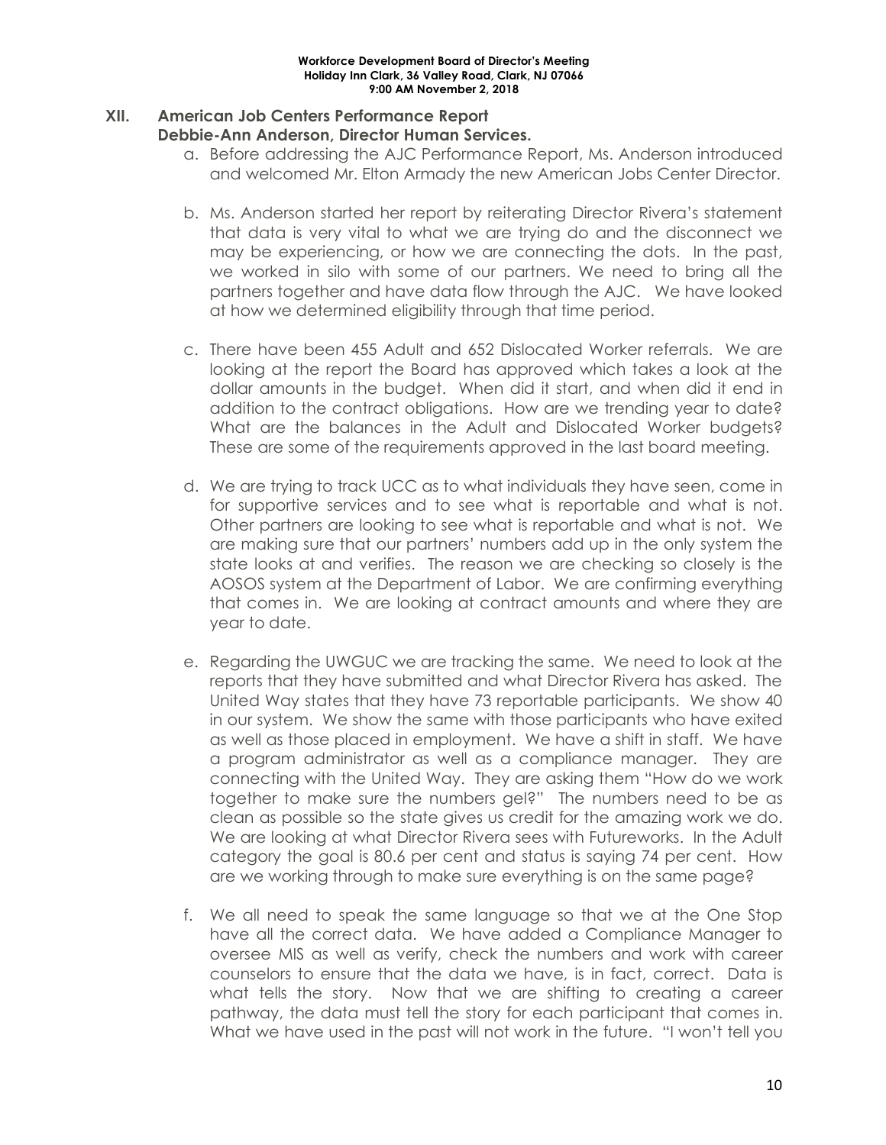# **XII. American Job Centers Performance Report**

### **Debbie-Ann Anderson, Director Human Services.**

- a. Before addressing the AJC Performance Report, Ms. Anderson introduced and welcomed Mr. Elton Armady the new American Jobs Center Director.
- b. Ms. Anderson started her report by reiterating Director Rivera's statement that data is very vital to what we are trying do and the disconnect we may be experiencing, or how we are connecting the dots. In the past, we worked in silo with some of our partners. We need to bring all the partners together and have data flow through the AJC. We have looked at how we determined eligibility through that time period.
- c. There have been 455 Adult and 652 Dislocated Worker referrals. We are looking at the report the Board has approved which takes a look at the dollar amounts in the budget. When did it start, and when did it end in addition to the contract obligations. How are we trending year to date? What are the balances in the Adult and Dislocated Worker budgets? These are some of the requirements approved in the last board meeting.
- d. We are trying to track UCC as to what individuals they have seen, come in for supportive services and to see what is reportable and what is not. Other partners are looking to see what is reportable and what is not. We are making sure that our partners' numbers add up in the only system the state looks at and verifies. The reason we are checking so closely is the AOSOS system at the Department of Labor. We are confirming everything that comes in. We are looking at contract amounts and where they are year to date.
- e. Regarding the UWGUC we are tracking the same. We need to look at the reports that they have submitted and what Director Rivera has asked. The United Way states that they have 73 reportable participants. We show 40 in our system. We show the same with those participants who have exited as well as those placed in employment. We have a shift in staff. We have a program administrator as well as a compliance manager. They are connecting with the United Way. They are asking them "How do we work together to make sure the numbers gel?" The numbers need to be as clean as possible so the state gives us credit for the amazing work we do. We are looking at what Director Rivera sees with Futureworks. In the Adult category the goal is 80.6 per cent and status is saying 74 per cent. How are we working through to make sure everything is on the same page?
- f. We all need to speak the same language so that we at the One Stop have all the correct data. We have added a Compliance Manager to oversee MIS as well as verify, check the numbers and work with career counselors to ensure that the data we have, is in fact, correct. Data is what tells the story. Now that we are shifting to creating a career pathway, the data must tell the story for each participant that comes in. What we have used in the past will not work in the future. "I won't tell you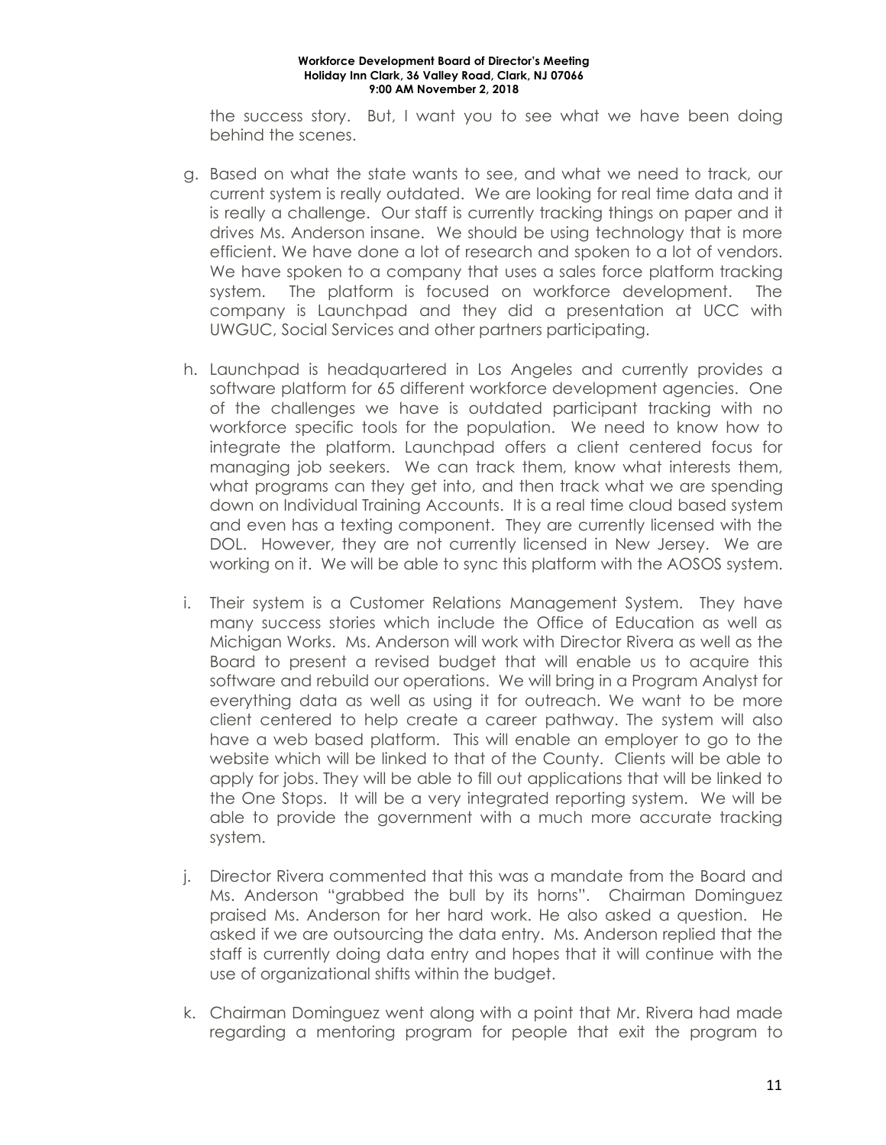the success story. But, I want you to see what we have been doing behind the scenes.

- g. Based on what the state wants to see, and what we need to track, our current system is really outdated. We are looking for real time data and it is really a challenge. Our staff is currently tracking things on paper and it drives Ms. Anderson insane. We should be using technology that is more efficient. We have done a lot of research and spoken to a lot of vendors. We have spoken to a company that uses a sales force platform tracking system. The platform is focused on workforce development. The company is Launchpad and they did a presentation at UCC with UWGUC, Social Services and other partners participating.
- h. Launchpad is headquartered in Los Angeles and currently provides a software platform for 65 different workforce development agencies. One of the challenges we have is outdated participant tracking with no workforce specific tools for the population. We need to know how to integrate the platform. Launchpad offers a client centered focus for managing job seekers. We can track them, know what interests them, what programs can they get into, and then track what we are spending down on Individual Training Accounts. It is a real time cloud based system and even has a texting component. They are currently licensed with the DOL. However, they are not currently licensed in New Jersey. We are working on it. We will be able to sync this platform with the AOSOS system.
- i. Their system is a Customer Relations Management System. They have many success stories which include the Office of Education as well as Michigan Works. Ms. Anderson will work with Director Rivera as well as the Board to present a revised budget that will enable us to acquire this software and rebuild our operations. We will bring in a Program Analyst for everything data as well as using it for outreach. We want to be more client centered to help create a career pathway. The system will also have a web based platform. This will enable an employer to go to the website which will be linked to that of the County. Clients will be able to apply for jobs. They will be able to fill out applications that will be linked to the One Stops. It will be a very integrated reporting system. We will be able to provide the government with a much more accurate tracking system.
- j. Director Rivera commented that this was a mandate from the Board and Ms. Anderson "grabbed the bull by its horns". Chairman Dominguez praised Ms. Anderson for her hard work. He also asked a question. He asked if we are outsourcing the data entry. Ms. Anderson replied that the staff is currently doing data entry and hopes that it will continue with the use of organizational shifts within the budget.
- k. Chairman Dominguez went along with a point that Mr. Rivera had made regarding a mentoring program for people that exit the program to